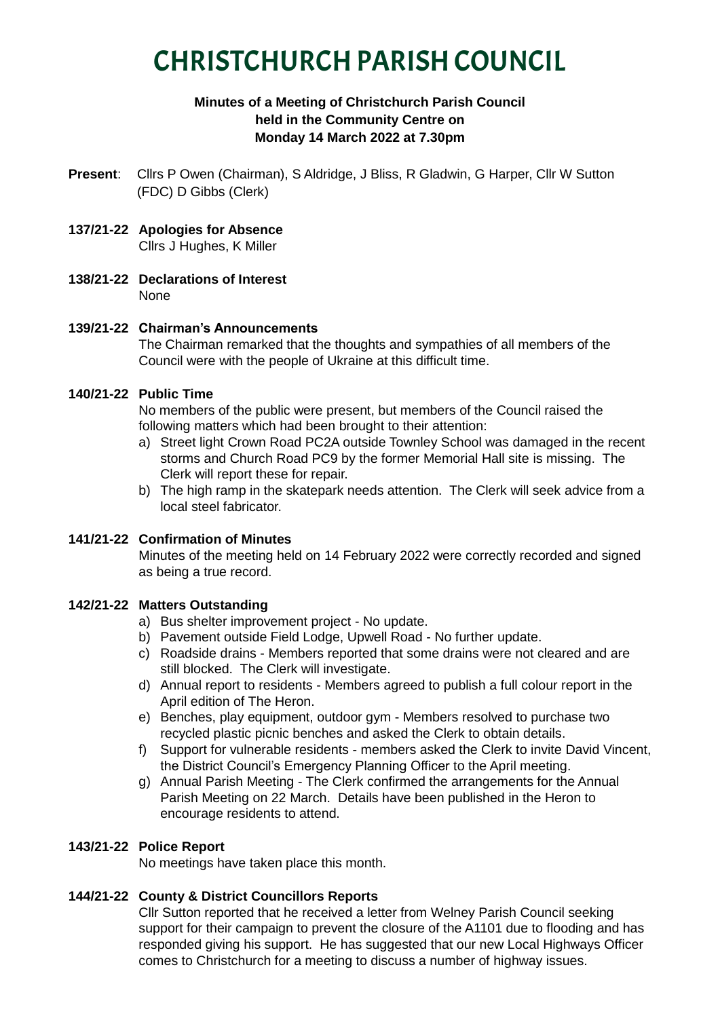# CHRISTCHURCH PARISH COUNCIL

## **Minutes of a Meeting of Christchurch Parish Council held in the Community Centre on Monday 14 March 2022 at 7.30pm**

- **Present**: Cllrs P Owen (Chairman), S Aldridge, J Bliss, R Gladwin, G Harper, Cllr W Sutton (FDC) D Gibbs (Clerk)
- **137/21-22 Apologies for Absence** Cllrs J Hughes, K Miller
- **138/21-22 Declarations of Interest** None

## **139/21-22 Chairman's Announcements**

The Chairman remarked that the thoughts and sympathies of all members of the Council were with the people of Ukraine at this difficult time.

## **140/21-22 Public Time**

No members of the public were present, but members of the Council raised the following matters which had been brought to their attention:

- a) Street light Crown Road PC2A outside Townley School was damaged in the recent storms and Church Road PC9 by the former Memorial Hall site is missing. The Clerk will report these for repair.
- b) The high ramp in the skatepark needs attention. The Clerk will seek advice from a local steel fabricator.

## **141/21-22 Confirmation of Minutes**

Minutes of the meeting held on 14 February 2022 were correctly recorded and signed as being a true record.

## **142/21-22 Matters Outstanding**

- a) Bus shelter improvement project No update.
- b) Pavement outside Field Lodge, Upwell Road No further update.
- c) Roadside drains Members reported that some drains were not cleared and are still blocked. The Clerk will investigate.
- d) Annual report to residents Members agreed to publish a full colour report in the April edition of The Heron.
- e) Benches, play equipment, outdoor gym Members resolved to purchase two recycled plastic picnic benches and asked the Clerk to obtain details.
- f) Support for vulnerable residents members asked the Clerk to invite David Vincent, the District Council's Emergency Planning Officer to the April meeting.
- g) Annual Parish Meeting The Clerk confirmed the arrangements for the Annual Parish Meeting on 22 March. Details have been published in the Heron to encourage residents to attend.

## **143/21-22 Police Report**

No meetings have taken place this month.

## **144/21-22 County & District Councillors Reports**

Cllr Sutton reported that he received a letter from Welney Parish Council seeking support for their campaign to prevent the closure of the A1101 due to flooding and has responded giving his support. He has suggested that our new Local Highways Officer comes to Christchurch for a meeting to discuss a number of highway issues.